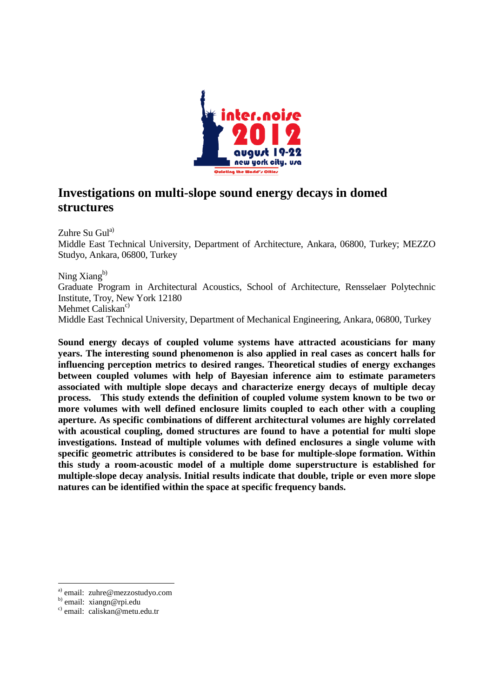

# **Investigations on multi-slope sound energy decays in domed structures**

Zuhre Su Gula) Middle East Technical University, Department of Architecture, Ankara, 06800, Turkey; MEZZO Studyo, Ankara, 06800, Turkey

Ning  $X$ iang $^{b)}$ Graduate Program in Architectural Acoustics, School of Architecture, Rensselaer Polytechnic Institute, Troy, New York 12180 Mehmet Caliskan<sup>c)</sup> Middle East Technical University, Department of Mechanical Engineering, Ankara, 06800, Turkey

**Sound energy decays of coupled volume systems have attracted acousticians for many years. The interesting sound phenomenon is also applied in real cases as concert halls for influencing perception metrics to desired ranges. Theoretical studies of energy exchanges between coupled volumes with help of Bayesian inference aim to estimate parameters associated with multiple slope decays and characterize energy decays of multiple decay process. This study extends the definition of coupled volume system known to be two or more volumes with well defined enclosure limits coupled to each other with a coupling aperture. As specific combinations of different architectural volumes are highly correlated with acoustical coupling, domed structures are found to have a potential for multi slope investigations. Instead of multiple volumes with defined enclosures a single volume with specific geometric attributes is considered to be base for multiple-slope formation. Within this study a room-acoustic model of a multiple dome superstructure is established for multiple-slope decay analysis. Initial results indicate that double, triple or even more slope natures can be identified within the space at specific frequency bands.** 

-

a) email: zuhre@mezzostudyo.com

b) email: xiangn@rpi.edu

c) email: caliskan@metu.edu.tr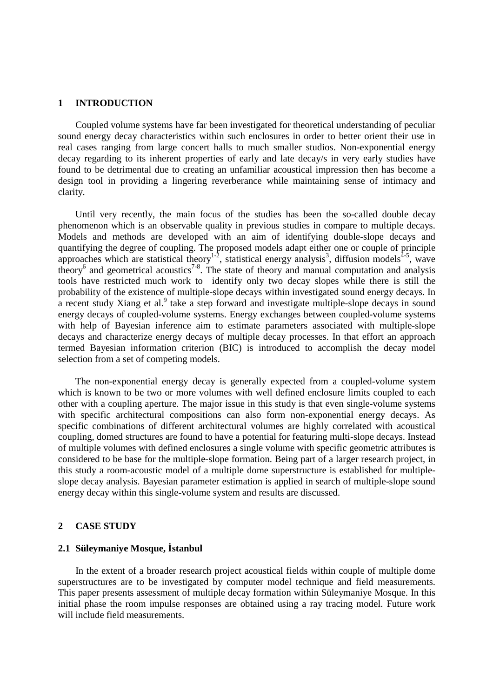#### **1 INTRODUCTION**

 Coupled volume systems have far been investigated for theoretical understanding of peculiar sound energy decay characteristics within such enclosures in order to better orient their use in real cases ranging from large concert halls to much smaller studios. Non-exponential energy decay regarding to its inherent properties of early and late decay/s in very early studies have found to be detrimental due to creating an unfamiliar acoustical impression then has become a design tool in providing a lingering reverberance while maintaining sense of intimacy and clarity.

Until very recently, the main focus of the studies has been the so-called double decay phenomenon which is an observable quality in previous studies in compare to multiple decays. Models and methods are developed with an aim of identifying double-slope decays and quantifying the degree of coupling. The proposed models adapt either one or couple of principle approaches which are statistical theory<sup>1-2</sup>, statistical energy analysis<sup>3</sup>, diffusion models<sup>4-5</sup>, wave theory<sup>6</sup> and geometrical acoustics<sup>7-8</sup>. The state of theory and manual computation and analysis tools have restricted much work to identify only two decay slopes while there is still the probability of the existence of multiple-slope decays within investigated sound energy decays. In a recent study Xiang et al.<sup>9</sup> take a step forward and investigate multiple-slope decays in sound energy decays of coupled-volume systems. Energy exchanges between coupled-volume systems with help of Bayesian inference aim to estimate parameters associated with multiple-slope decays and characterize energy decays of multiple decay processes. In that effort an approach termed Bayesian information criterion (BIC) is introduced to accomplish the decay model selection from a set of competing models.

The non-exponential energy decay is generally expected from a coupled-volume system which is known to be two or more volumes with well defined enclosure limits coupled to each other with a coupling aperture. The major issue in this study is that even single-volume systems with specific architectural compositions can also form non-exponential energy decays. As specific combinations of different architectural volumes are highly correlated with acoustical coupling, domed structures are found to have a potential for featuring multi-slope decays. Instead of multiple volumes with defined enclosures a single volume with specific geometric attributes is considered to be base for the multiple-slope formation. Being part of a larger research project, in this study a room-acoustic model of a multiple dome superstructure is established for multipleslope decay analysis. Bayesian parameter estimation is applied in search of multiple-slope sound energy decay within this single-volume system and results are discussed.

# **2 CASE STUDY**

### **2.1 Süleymaniye Mosque, İstanbul**

 In the extent of a broader research project acoustical fields within couple of multiple dome superstructures are to be investigated by computer model technique and field measurements. This paper presents assessment of multiple decay formation within Süleymaniye Mosque. In this initial phase the room impulse responses are obtained using a ray tracing model. Future work will include field measurements.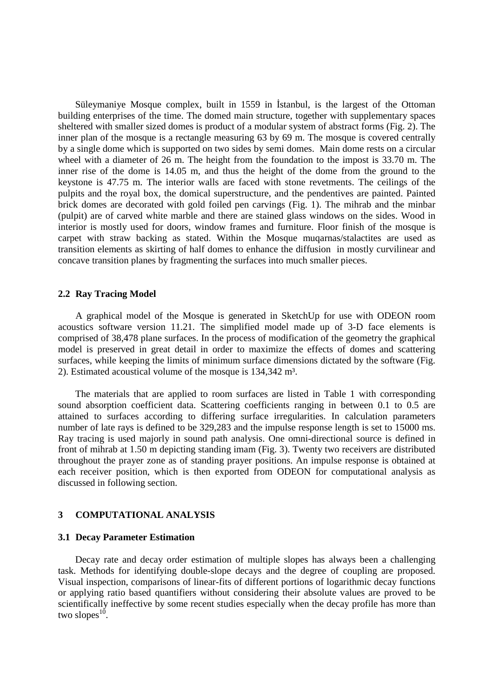Süleymaniye Mosque complex, built in 1559 in İstanbul, is the largest of the Ottoman building enterprises of the time. The domed main structure, together with supplementary spaces sheltered with smaller sized domes is product of a modular system of abstract forms (Fig. 2). The inner plan of the mosque is a rectangle measuring 63 by 69 m. The mosque is covered centrally by a single dome which is supported on two sides by semi domes. Main dome rests on a circular wheel with a diameter of 26 m. The height from the foundation to the impost is 33.70 m. The inner rise of the dome is 14.05 m, and thus the height of the dome from the ground to the keystone is 47.75 m. The interior walls are faced with stone revetments. The ceilings of the pulpits and the royal box, the domical superstructure, and the pendentives are painted. Painted brick domes are decorated with gold foiled pen carvings (Fig. 1). The mihrab and the minbar (pulpit) are of carved white marble and there are stained glass windows on the sides. Wood in interior is mostly used for doors, window frames and furniture. Floor finish of the mosque is carpet with straw backing as stated. Within the Mosque muqarnas/stalactites are used as transition elements as skirting of half domes to enhance the diffusion in mostly curvilinear and concave transition planes by fragmenting the surfaces into much smaller pieces.

# **2.2 Ray Tracing Model**

 A graphical model of the Mosque is generated in SketchUp for use with ODEON room acoustics software version 11.21. The simplified model made up of 3-D face elements is comprised of 38,478 plane surfaces. In the process of modification of the geometry the graphical model is preserved in great detail in order to maximize the effects of domes and scattering surfaces, while keeping the limits of minimum surface dimensions dictated by the software (Fig. 2). Estimated acoustical volume of the mosque is 134,342 m<sup>3</sup>.

The materials that are applied to room surfaces are listed in Table 1 with corresponding sound absorption coefficient data. Scattering coefficients ranging in between 0.1 to 0.5 are attained to surfaces according to differing surface irregularities. In calculation parameters number of late rays is defined to be 329,283 and the impulse response length is set to 15000 ms. Ray tracing is used majorly in sound path analysis. One omni-directional source is defined in front of mihrab at 1.50 m depicting standing imam (Fig. 3). Twenty two receivers are distributed throughout the prayer zone as of standing prayer positions. An impulse response is obtained at each receiver position, which is then exported from ODEON for computational analysis as discussed in following section.

# **3 COMPUTATIONAL ANALYSIS**

### **3.1 Decay Parameter Estimation**

Decay rate and decay order estimation of multiple slopes has always been a challenging task. Methods for identifying double-slope decays and the degree of coupling are proposed. Visual inspection, comparisons of linear-fits of different portions of logarithmic decay functions or applying ratio based quantifiers without considering their absolute values are proved to be scientifically ineffective by some recent studies especially when the decay profile has more than two slopes<sup>10</sup>.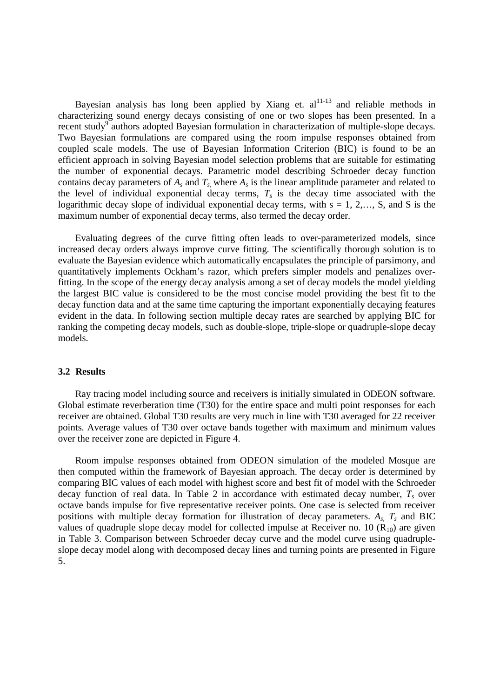Bayesian analysis has long been applied by Xiang et.  $al^{11-13}$  and reliable methods in characterizing sound energy decays consisting of one or two slopes has been presented. In a recent study<sup>9</sup> authors adopted Bayesian formulation in characterization of multiple-slope decays. Two Bayesian formulations are compared using the room impulse responses obtained from coupled scale models. The use of Bayesian Information Criterion (BIC) is found to be an efficient approach in solving Bayesian model selection problems that are suitable for estimating the number of exponential decays. Parametric model describing Schroeder decay function contains decay parameters of  $A_s$  and  $T_s$ , where  $A_s$  is the linear amplitude parameter and related to the level of individual exponential decay terms,  $T<sub>s</sub>$  is the decay time associated with the logarithmic decay slope of individual exponential decay terms, with  $s = 1, 2,..., S$ , and S is the maximum number of exponential decay terms, also termed the decay order.

Evaluating degrees of the curve fitting often leads to over-parameterized models, since increased decay orders always improve curve fitting. The scientifically thorough solution is to evaluate the Bayesian evidence which automatically encapsulates the principle of parsimony, and quantitatively implements Ockham's razor, which prefers simpler models and penalizes overfitting. In the scope of the energy decay analysis among a set of decay models the model yielding the largest BIC value is considered to be the most concise model providing the best fit to the decay function data and at the same time capturing the important exponentially decaying features evident in the data. In following section multiple decay rates are searched by applying BIC for ranking the competing decay models, such as double-slope, triple-slope or quadruple-slope decay models.

# **3.2 Results**

Ray tracing model including source and receivers is initially simulated in ODEON software. Global estimate reverberation time (T30) for the entire space and multi point responses for each receiver are obtained. Global T30 results are very much in line with T30 averaged for 22 receiver points. Average values of T30 over octave bands together with maximum and minimum values over the receiver zone are depicted in Figure 4.

Room impulse responses obtained from ODEON simulation of the modeled Mosque are then computed within the framework of Bayesian approach. The decay order is determined by comparing BIC values of each model with highest score and best fit of model with the Schroeder decay function of real data. In Table 2 in accordance with estimated decay number, *T<sup>s</sup>* over octave bands impulse for five representative receiver points. One case is selected from receiver positions with multiple decay formation for illustration of decay parameters. *As, T<sup>s</sup>* and BIC values of quadruple slope decay model for collected impulse at Receiver no. 10  $(R_{10})$  are given in Table 3. Comparison between Schroeder decay curve and the model curve using quadrupleslope decay model along with decomposed decay lines and turning points are presented in Figure 5.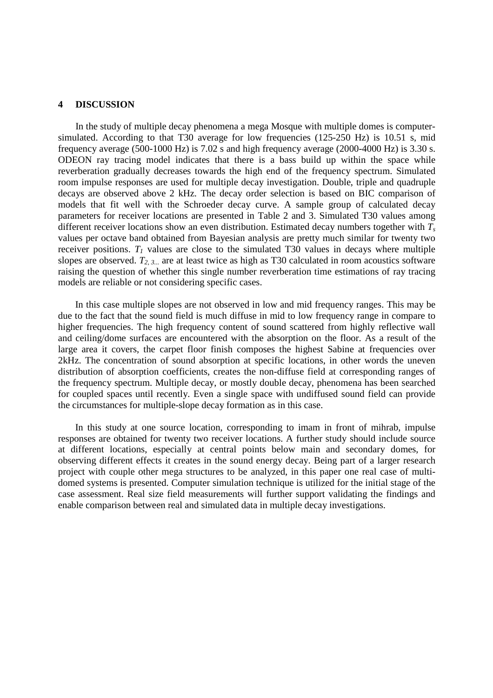# **4 DISCUSSION**

 In the study of multiple decay phenomena a mega Mosque with multiple domes is computersimulated. According to that T30 average for low frequencies (125-250 Hz) is 10.51 s, mid frequency average (500-1000 Hz) is 7.02 s and high frequency average (2000-4000 Hz) is 3.30 s. ODEON ray tracing model indicates that there is a bass build up within the space while reverberation gradually decreases towards the high end of the frequency spectrum. Simulated room impulse responses are used for multiple decay investigation. Double, triple and quadruple decays are observed above 2 kHz. The decay order selection is based on BIC comparison of models that fit well with the Schroeder decay curve. A sample group of calculated decay parameters for receiver locations are presented in Table 2 and 3. Simulated T30 values among different receiver locations show an even distribution. Estimated decay numbers together with *T<sup>s</sup>* values per octave band obtained from Bayesian analysis are pretty much similar for twenty two receiver positions.  $T_I$  values are close to the simulated T30 values in decays where multiple slopes are observed.  $T_{2, 3}$  are at least twice as high as T30 calculated in room acoustics software raising the question of whether this single number reverberation time estimations of ray tracing models are reliable or not considering specific cases.

In this case multiple slopes are not observed in low and mid frequency ranges. This may be due to the fact that the sound field is much diffuse in mid to low frequency range in compare to higher frequencies. The high frequency content of sound scattered from highly reflective wall and ceiling/dome surfaces are encountered with the absorption on the floor. As a result of the large area it covers, the carpet floor finish composes the highest Sabine at frequencies over 2kHz. The concentration of sound absorption at specific locations, in other words the uneven distribution of absorption coefficients, creates the non-diffuse field at corresponding ranges of the frequency spectrum. Multiple decay, or mostly double decay, phenomena has been searched for coupled spaces until recently. Even a single space with undiffused sound field can provide the circumstances for multiple-slope decay formation as in this case.

In this study at one source location, corresponding to imam in front of mihrab, impulse responses are obtained for twenty two receiver locations. A further study should include source at different locations, especially at central points below main and secondary domes, for observing different effects it creates in the sound energy decay. Being part of a larger research project with couple other mega structures to be analyzed, in this paper one real case of multidomed systems is presented. Computer simulation technique is utilized for the initial stage of the case assessment. Real size field measurements will further support validating the findings and enable comparison between real and simulated data in multiple decay investigations.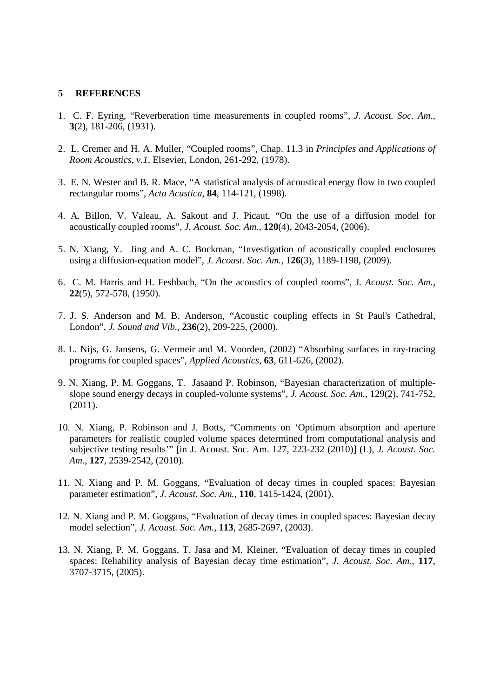### **5 REFERENCES**

- 1. C. F. Eyring, "Reverberation time measurements in coupled rooms", *J. Acoust. Soc. Am.*, **3**(2), 181-206, (1931).
- 2. L. Cremer and H. A. Muller, "Coupled rooms", Chap. 11.3 in *Principles and Applications of Room Acoustics, v.1*, Elsevier, London, 261-292, (1978).
- 3. E. N. Wester and B. R. Mace, "A statistical analysis of acoustical energy flow in two coupled rectangular rooms", *Acta Acustica*, **84**, 114-121, (1998).
- 4. A. Billon, V. Valeau, A. Sakout and J. Picaut, "On the use of a diffusion model for acoustically coupled rooms", *J. Acoust. Soc. Am.*, **120**(4), 2043-2054, (2006).
- 5. N. Xiang, Y. Jing and A. C. Bockman, "Investigation of acoustically coupled enclosures using a diffusion-equation model", *J. Acoust. Soc. Am.*, **126**(3), 1189-1198, (2009).
- 6. C. M. Harris and H. Feshbach, "On the acoustics of coupled rooms", J*. Acoust. Soc. Am.*, **22**(5), 572-578, (1950).
- 7. J. S. Anderson and M. B. Anderson, "Acoustic coupling effects in St Paul's Cathedral, London", *J. Sound and Vib.*, **236**(2), 209-225, (2000).
- 8. L. Nijs, G. Jansens, G. Vermeir and M. Voorden, (2002) "Absorbing surfaces in ray-tracing programs for coupled spaces", *Applied Acoustics*, **63**, 611-626, (2002).
- 9. N. Xiang, P. M. Goggans, T. Jasaand P. Robinson, "Bayesian characterization of multipleslope sound energy decays in coupled-volume systems", *J. Acoust. Soc. Am.*, 129(2), 741-752, (2011).
- 10. N. Xiang, P. Robinson and J. Botts, "Comments on 'Optimum absorption and aperture parameters for realistic coupled volume spaces determined from computational analysis and subjective testing results'" [in J. Acoust. Soc. Am. 127, 223-232 (2010)] (L), *J. Acoust. Soc. Am.*, **127**, 2539-2542, (2010).
- 11. N. Xiang and P. M. Goggans, "Evaluation of decay times in coupled spaces: Bayesian parameter estimation", *J. Acoust. Soc. Am.*, **110**, 1415-1424, (2001).
- 12. N. Xiang and P. M. Goggans, "Evaluation of decay times in coupled spaces: Bayesian decay model selection", *J. Acoust. Soc. Am.*, **113**, 2685-2697, (2003).
- 13. N. Xiang, P. M. Goggans, T. Jasa and M. Kleiner, "Evaluation of decay times in coupled spaces: Reliability analysis of Bayesian decay time estimation", *J. Acoust. Soc. Am.,* **117**, 3707-3715, (2005).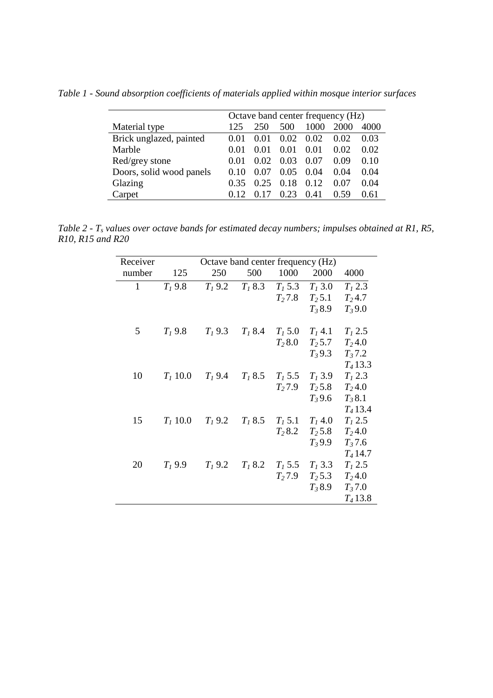*Table 1 - Sound absorption coefficients of materials applied within mosque interior surfaces* 

|                          | Octave band center frequency (Hz) |        |      |      |      |      |
|--------------------------|-----------------------------------|--------|------|------|------|------|
| Material type            | 125                               | 250    | 500  | 1000 | 2000 | 4000 |
| Brick unglazed, painted  | 0.01                              | (0.01) | 0.02 | 0.02 | 0.02 | 0.03 |
| Marble                   | 0.01                              | (0.01) | 0.01 | 0.01 | 0.02 | 0.02 |
| Red/grey stone           | (0.01)                            | 0.02   | 0.03 | 0.07 | 0.09 | 0.10 |
| Doors, solid wood panels | 0.10                              | 0.07   | 0.05 | 0.04 | 0.04 | 0.04 |
| Glazing                  | 0.35                              | 0.25   | 0.18 | 0.12 | 0.07 | 0.04 |
| Carpet                   |                                   |        | 0.23 | 0.41 | 0.59 | 0.61 |

*Table 2 - Ts values over octave bands for estimated decay numbers; impulses obtained at R1, R5, R10, R15 and R20* 

| Receiver     | Octave band center frequency (Hz) |           |           |           |           |            |
|--------------|-----------------------------------|-----------|-----------|-----------|-----------|------------|
| number       | 125                               | 250       | 500       | 1000      | 2000      | 4000       |
| $\mathbf{1}$ | $T_1$ 9.8                         | $T_1$ 9.2 | $T_1 8.3$ | $T_1$ 5.3 | $T_1$ 3.0 | $T_1 2.3$  |
|              |                                   |           |           | $T_2 7.8$ | $T_2$ 5.1 | $T_2$ 4.7  |
|              |                                   |           |           |           | $T_38.9$  | $T_39.0$   |
| 5            | $T_1$ 9.8                         | $T_1$ 9.3 | $T_1 8.4$ | $T_1 5.0$ | $T_1$ 4.1 | $T_1 2.5$  |
|              |                                   |           |           | $T_2 8.0$ | $T_2$ 5.7 | $T_2$ 4.0  |
|              |                                   |           |           |           | $T_3$ 9.3 | $T_3 7.2$  |
|              |                                   |           |           |           |           | $T_4$ 13.3 |
| 10           | $T_1$ 10.0                        | $T_1$ 9.4 | $T_1 8.5$ | $T_1$ 5.5 | $T_1$ 3.9 | $T_1 2.3$  |
|              |                                   |           |           | $T_2$ 7.9 | $T_2$ 5.8 | $T_2$ 4.0  |
|              |                                   |           |           |           | $T_3$ 9.6 | $T_3 8.1$  |
|              |                                   |           |           |           |           | $T_4$ 13.4 |
| 15           | $T_1$ 10.0                        | $T_1$ 9.2 | $T_1 8.5$ | $T_1$ 5.1 | $T_1$ 4.0 | $T_1$ 2.5  |
|              |                                   |           |           | $T_2 8.2$ | $T_2$ 5.8 | $T_2$ 4.0  |
|              |                                   |           |           |           | $T_3$ 9.9 | $T_3$ 7.6  |
|              |                                   |           |           |           |           | $T_4$ 14.7 |
| 20           | $T_1$ 9.9                         | $T_1$ 9.2 | $T_1 8.2$ | $T_1$ 5.5 | $T_1$ 3.3 | $T_1 2.5$  |
|              |                                   |           |           | $T_2$ 7.9 | $T_2$ 5.3 | $T_2$ 4.0  |
|              |                                   |           |           |           | $T_38.9$  | $T_3 7.0$  |
|              |                                   |           |           |           |           | $T_4$ 13.8 |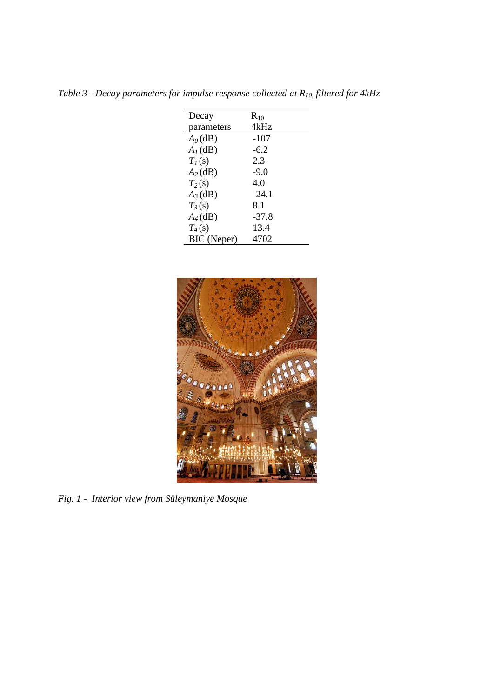| Decay       | $R_{10}$ |
|-------------|----------|
| parameters  | 4kHz     |
| $A_0$ (dB)  | $-107$   |
| $A_I$ (dB)  | $-6.2$   |
| $T_I(s)$    | 2.3      |
| $A_2$ (dB)  | $-9.0$   |
| $T_2(s)$    | 4.0      |
| $A_3$ (dB)  | $-24.1$  |
| $T_3(s)$    | 8.1      |
| $A_4$ (dB)  | $-37.8$  |
| $T_4(s)$    | 13.4     |
| BIC (Neper) | 4702     |

*Table 3 - Decay parameters for impulse response collected at R10, filtered for 4kHz* 



*Fig. 1 - Interior view from Süleymaniye Mosque*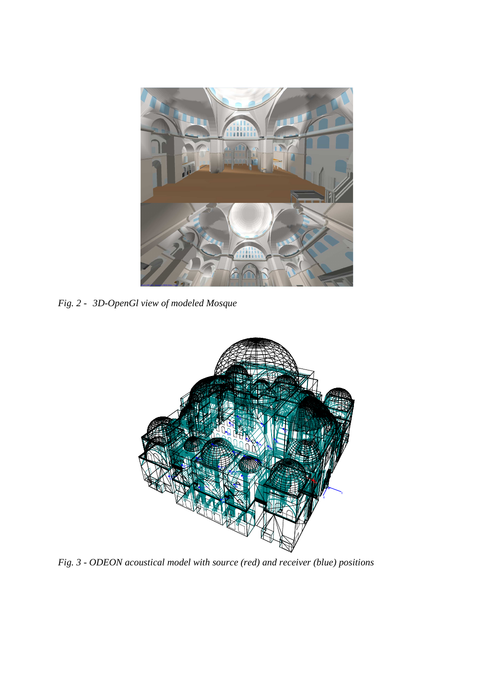

*Fig. 2 - 3D-OpenGl view of modeled Mosque*



*Fig. 3 - ODEON acoustical model with source (red) and receiver (blue) positions*